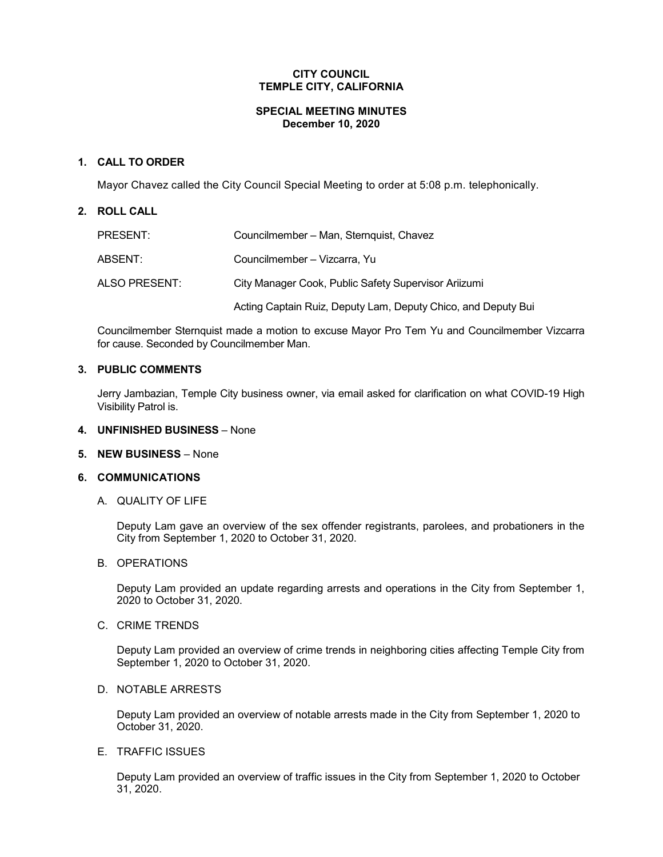## **CITY COUNCIL TEMPLE CITY, CALIFORNIA**

#### **SPECIAL MEETING MINUTES December 10, 2020**

## **1. CALL TO ORDER**

Mayor Chavez called the City Council Special Meeting to order at 5:08 p.m. telephonically.

## **2. ROLL CALL**

| PRESENT:      | Councilmember - Man, Sternquist, Chavez                       |
|---------------|---------------------------------------------------------------|
| ABSENT:       | Councilmember – Vizcarra, Yu                                  |
| ALSO PRESENT: | City Manager Cook, Public Safety Supervisor Ariizumi          |
|               | Acting Captain Ruiz, Deputy Lam, Deputy Chico, and Deputy Bui |

Councilmember Sternquist made a motion to excuse Mayor Pro Tem Yu and Councilmember Vizcarra for cause. Seconded by Councilmember Man.

## **3. PUBLIC COMMENTS**

Jerry Jambazian, Temple City business owner, via email asked for clarification on what COVID-19 High Visibility Patrol is.

## **4. UNFINISHED BUSINESS** – None

**5. NEW BUSINESS** – None

#### **6. COMMUNICATIONS**

A. QUALITY OF LIFE

Deputy Lam gave an overview of the sex offender registrants, parolees, and probationers in the City from September 1, 2020 to October 31, 2020.

#### B. OPERATIONS

Deputy Lam provided an update regarding arrests and operations in the City from September 1, 2020 to October 31, 2020.

# C. CRIME TRENDS

Deputy Lam provided an overview of crime trends in neighboring cities affecting Temple City from September 1, 2020 to October 31, 2020.

#### D. NOTABLE ARRESTS

Deputy Lam provided an overview of notable arrests made in the City from September 1, 2020 to October 31, 2020.

## E. TRAFFIC ISSUES

Deputy Lam provided an overview of traffic issues in the City from September 1, 2020 to October 31, 2020.